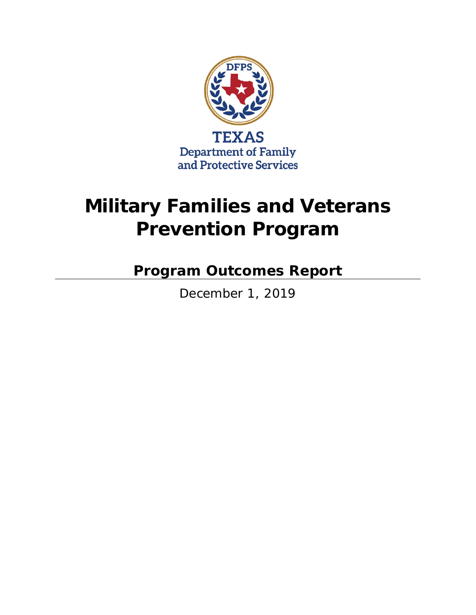

# **Military Families and Veterans Prevention Program**

**Program Outcomes Report**

December 1, 2019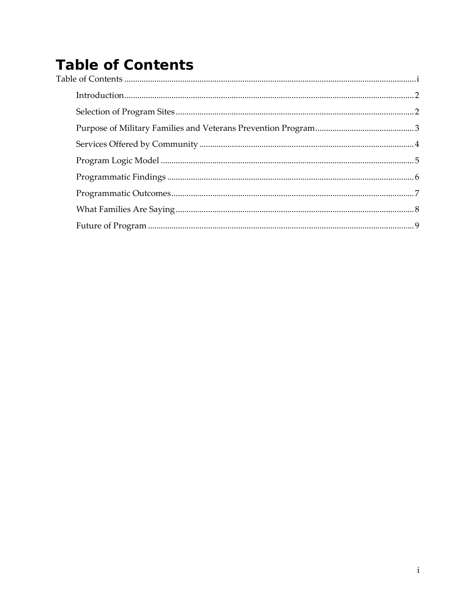## <span id="page-2-0"></span>**Table of Contents**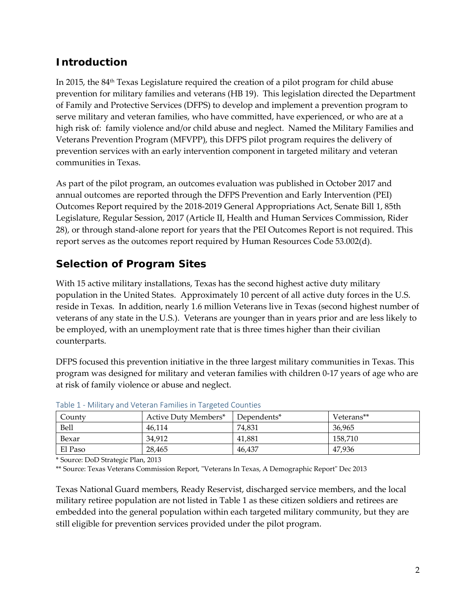#### <span id="page-3-0"></span>**Introduction**

In 2015, the 84<sup>th</sup> Texas Legislature required the creation of a pilot program for child abuse prevention for military families and veterans (HB 19). This legislation directed the Department of Family and Protective Services (DFPS) to develop and implement a prevention program to serve military and veteran families, who have committed, have experienced, or who are at a high risk of: family violence and/or child abuse and neglect. Named the Military Families and Veterans Prevention Program (MFVPP), this DFPS pilot program requires the delivery of prevention services with an early intervention component in targeted military and veteran communities in Texas.

As part of the pilot program, an outcomes evaluation was published in October 2017 and annual outcomes are reported through the DFPS Prevention and Early Intervention (PEI) Outcomes Report required by the 2018-2019 General Appropriations Act, Senate Bill 1, 85th Legislature, Regular Session, 2017 (Article II, Health and Human Services Commission, Rider 28), or through stand-alone report for years that the PEI Outcomes Report is not required. This report serves as the outcomes report required by Human Resources Code 53.002(d).

#### <span id="page-3-1"></span>**Selection of Program Sites**

With 15 active military installations, Texas has the second highest active duty military population in the United States. Approximately 10 percent of all active duty forces in the U.S. reside in Texas. In addition, nearly 1.6 million Veterans live in Texas (second highest number of veterans of any state in the U.S.). Veterans are younger than in years prior and are less likely to be employed, with an unemployment rate that is three times higher than their civilian counterparts.

DFPS focused this prevention initiative in the three largest military communities in Texas. This program was designed for military and veteran families with children 0-17 years of age who are at risk of family violence or abuse and neglect.

| County  | Active Duty Members* | Dependents* | Veterans** |  |  |
|---------|----------------------|-------------|------------|--|--|
| Bell    | 46.114               | 74,831      | 36,965     |  |  |
| Bexar   | 34.912               | 41.881      | 158.710    |  |  |
| El Paso | 28,465               | 46,437      | 47.936     |  |  |

|  | Table 1 - Military and Veteran Families in Targeted Counties |
|--|--------------------------------------------------------------|
|--|--------------------------------------------------------------|

\* Source: DoD Strategic Plan, 2013

\*\* Source: Texas Veterans Commission Report, "Veterans In Texas, A Demographic Report" Dec 2013

Texas National Guard members, Ready Reservist, discharged service members, and the local military retiree population are not listed in Table 1 as these citizen soldiers and retirees are embedded into the general population within each targeted military community, but they are still eligible for prevention services provided under the pilot program.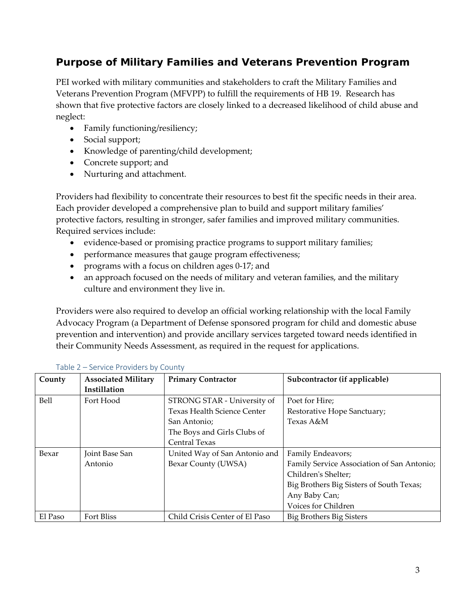#### <span id="page-4-0"></span>**Purpose of Military Families and Veterans Prevention Program**

PEI worked with military communities and stakeholders to craft the Military Families and Veterans Prevention Program (MFVPP) to fulfill the requirements of HB 19. Research has shown that five protective factors are closely linked to a decreased likelihood of child abuse and neglect:

- Family functioning/resiliency;
- Social support;
- Knowledge of parenting/child development;
- Concrete support; and
- Nurturing and attachment.

Providers had flexibility to concentrate their resources to best fit the specific needs in their area. Each provider developed a comprehensive plan to build and support military families' protective factors, resulting in stronger, safer families and improved military communities. Required services include:

- evidence-based or promising practice programs to support military families;
- performance measures that gauge program effectiveness;
- programs with a focus on children ages 0-17; and
- an approach focused on the needs of military and veteran families, and the military culture and environment they live in.

Providers were also required to develop an official working relationship with the local Family Advocacy Program (a Department of Defense sponsored program for child and domestic abuse prevention and intervention) and provide ancillary services targeted toward needs identified in their Community Needs Assessment, as required in the request for applications.

| County  | <b>Associated Military</b> | <b>Primary Contractor</b>      | Subcontractor (if applicable)              |
|---------|----------------------------|--------------------------------|--------------------------------------------|
|         | Instillation               |                                |                                            |
| Bell    | Fort Hood                  | STRONG STAR - University of    | Poet for Hire;                             |
|         |                            | Texas Health Science Center    | Restorative Hope Sanctuary;                |
|         |                            | San Antonio;                   | Texas A&M                                  |
|         |                            | The Boys and Girls Clubs of    |                                            |
|         |                            | <b>Central Texas</b>           |                                            |
| Bexar   | Joint Base San             | United Way of San Antonio and  | Family Endeavors;                          |
|         | Antonio                    | Bexar County (UWSA)            | Family Service Association of San Antonio; |
|         |                            |                                | Children's Shelter;                        |
|         |                            |                                | Big Brothers Big Sisters of South Texas;   |
|         |                            |                                | Any Baby Can;                              |
|         |                            |                                | Voices for Children                        |
| El Paso | Fort Bliss                 | Child Crisis Center of El Paso | Big Brothers Big Sisters                   |

#### Table 2 – Service Providers by County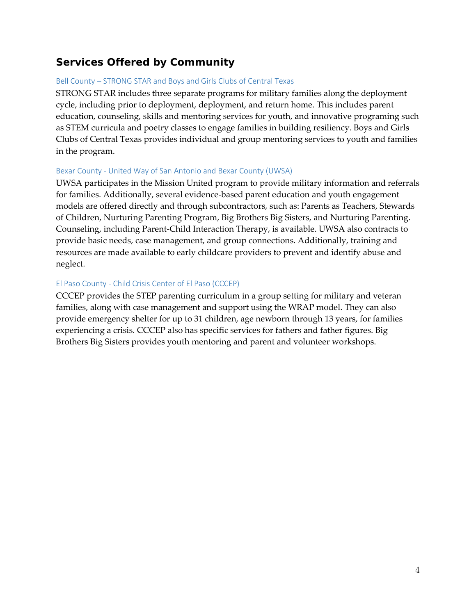#### <span id="page-5-0"></span>**Services Offered by Community**

#### Bell County – STRONG STAR and Boys and Girls Clubs of Central Texas

STRONG STAR includes three separate programs for military families along the deployment cycle, including prior to deployment, deployment, and return home. This includes parent education, counseling, skills and mentoring services for youth, and innovative programing such as STEM curricula and poetry classes to engage families in building resiliency. Boys and Girls Clubs of Central Texas provides individual and group mentoring services to youth and families in the program.

#### Bexar County - United Way of San Antonio and Bexar County (UWSA)

UWSA participates in the Mission United program to provide military information and referrals for families. Additionally, several evidence-based parent education and youth engagement models are offered directly and through subcontractors, such as: Parents as Teachers, Stewards of Children, Nurturing Parenting Program, Big Brothers Big Sisters, and Nurturing Parenting. Counseling, including Parent-Child Interaction Therapy, is available. UWSA also contracts to provide basic needs, case management, and group connections. Additionally, training and resources are made available to early childcare providers to prevent and identify abuse and neglect.

#### El Paso County - Child Crisis Center of El Paso (CCCEP)

CCCEP provides the STEP parenting curriculum in a group setting for military and veteran families, along with case management and support using the WRAP model. They can also provide emergency shelter for up to 31 children, age newborn through 13 years, for families experiencing a crisis. CCCEP also has specific services for fathers and father figures. Big Brothers Big Sisters provides youth mentoring and parent and volunteer workshops.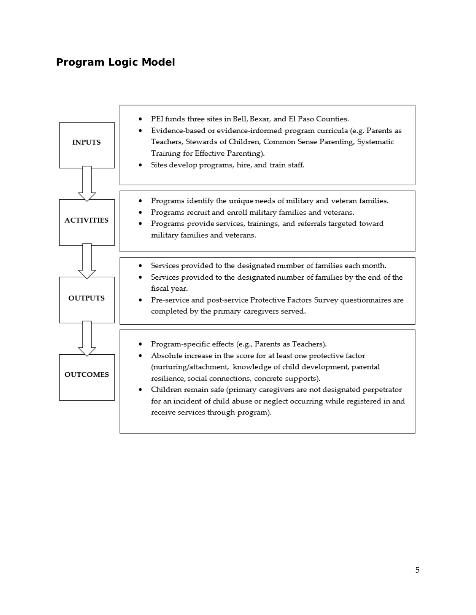#### <span id="page-6-0"></span>**Program Logic Model**

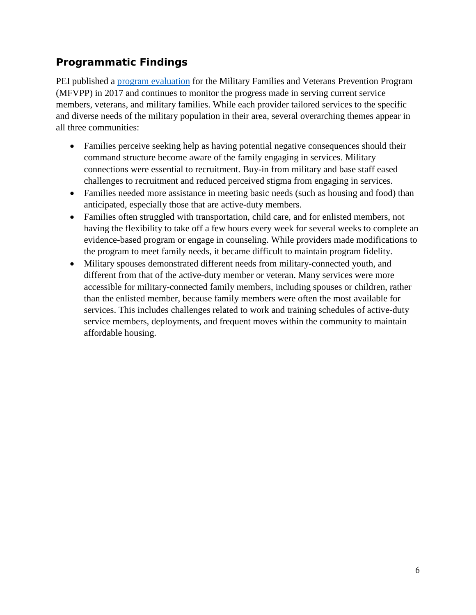#### <span id="page-7-0"></span>**Programmatic Findings**

PEI published a [program evaluation](http://www.dfps.state.tx.us/About_DFPS/Reports_and_Presentations/PEI/documents/2017/2017-10-12_Military_Families_Report.pdf) for the Military Families and Veterans Prevention Program (MFVPP) in 2017 and continues to monitor the progress made in serving current service members, veterans, and military families. While each provider tailored services to the specific and diverse needs of the military population in their area, several overarching themes appear in all three communities:

- Families perceive seeking help as having potential negative consequences should their command structure become aware of the family engaging in services. Military connections were essential to recruitment. Buy-in from military and base staff eased challenges to recruitment and reduced perceived stigma from engaging in services.
- Families needed more assistance in meeting basic needs (such as housing and food) than anticipated, especially those that are active-duty members.
- Families often struggled with transportation, child care, and for enlisted members, not having the flexibility to take off a few hours every week for several weeks to complete an evidence-based program or engage in counseling. While providers made modifications to the program to meet family needs, it became difficult to maintain program fidelity.
- Military spouses demonstrated different needs from military-connected youth, and different from that of the active-duty member or veteran. Many services were more accessible for military-connected family members, including spouses or children, rather than the enlisted member, because family members were often the most available for services. This includes challenges related to work and training schedules of active-duty service members, deployments, and frequent moves within the community to maintain affordable housing.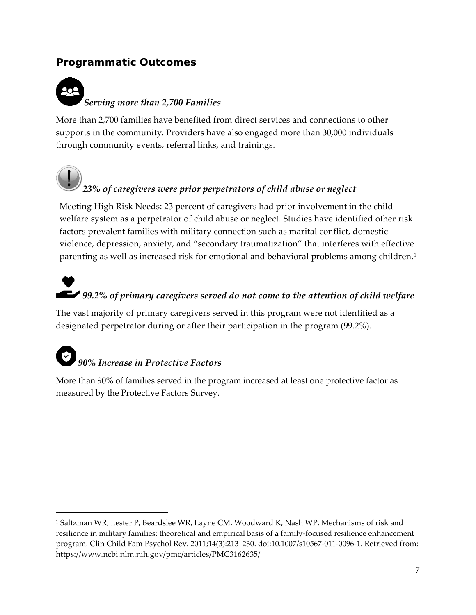#### <span id="page-8-0"></span>**Programmatic Outcomes**

## ᄍ *Serving more than 2,700 Families*

More than 2,700 families have benefited from direct services and connections to other supports in the community. Providers have also engaged more than 30,000 individuals through community events, referral links, and trainings.



 $\overline{a}$ 

### *23% of caregivers were prior perpetrators of child abuse or neglect*

Meeting High Risk Needs: 23 percent of caregivers had prior involvement in the child welfare system as a perpetrator of child abuse or neglect. Studies have identified other risk factors prevalent families with military connection such as marital conflict, domestic violence, depression, anxiety, and "secondary traumatization" that interferes with effective parenting as well as increased risk for emotional and behavioral problems among children.<sup>[1](#page-8-1)</sup>

# *99.2% of primary caregivers served do not come to the attention of child welfare*

The vast majority of primary caregivers served in this program were not identified as a designated perpetrator during or after their participation in the program (99.2%).

# *90% Increase in Protective Factors*

More than 90% of families served in the program increased at least one protective factor as measured by the Protective Factors Survey.

<span id="page-8-1"></span><sup>1</sup> Saltzman WR, Lester P, Beardslee WR, Layne CM, Woodward K, Nash WP. Mechanisms of risk and resilience in military families: theoretical and empirical basis of a family-focused resilience enhancement program. Clin Child Fam Psychol Rev. 2011;14(3):213–230. doi:10.1007/s10567-011-0096-1. Retrieved from: https://www.ncbi.nlm.nih.gov/pmc/articles/PMC3162635/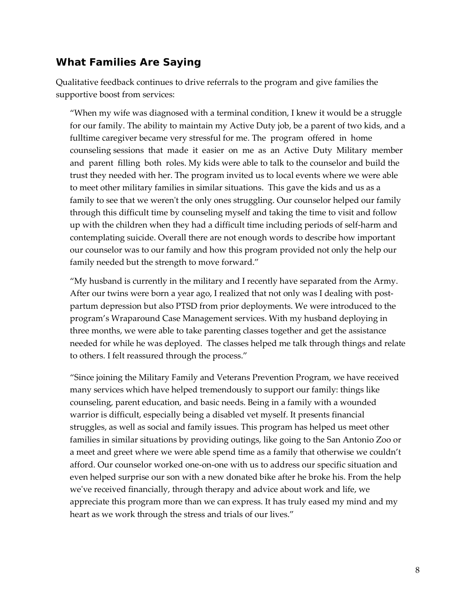#### <span id="page-9-0"></span>**What Families Are Saying**

Qualitative feedback continues to drive referrals to the program and give families the supportive boost from services:

"When my wife was diagnosed with a terminal condition, I knew it would be a struggle for our family. The ability to maintain my Active Duty job, be a parent of two kids, and a fulltime caregiver became very stressful for me. The program offered in home counseling sessions that made it easier on me as an Active Duty Military member and parent filling both roles. My kids were able to talk to the counselor and build the trust they needed with her. The program invited us to local events where we were able to meet other military families in similar situations. This gave the kids and us as a family to see that we weren't the only ones struggling. Our counselor helped our family through this difficult time by counseling myself and taking the time to visit and follow up with the children when they had a difficult time including periods of self-harm and contemplating suicide. Overall there are not enough words to describe how important our counselor was to our family and how this program provided not only the help our family needed but the strength to move forward."

"My husband is currently in the military and I recently have separated from the Army. After our twins were born a year ago, I realized that not only was I dealing with postpartum depression but also PTSD from prior deployments. We were introduced to the program's Wraparound Case Management services. With my husband deploying in three months, we were able to take parenting classes together and get the assistance needed for while he was deployed. The classes helped me talk through things and relate to others. I felt reassured through the process."

"Since joining the Military Family and Veterans Prevention Program, we have received many services which have helped tremendously to support our family: things like counseling, parent education, and basic needs. Being in a family with a wounded warrior is difficult, especially being a disabled vet myself. It presents financial struggles, as well as social and family issues. This program has helped us meet other families in similar situations by providing outings, like going to the San Antonio Zoo or a meet and greet where we were able spend time as a family that otherwise we couldn't afford. Our counselor worked one-on-one with us to address our specific situation and even helped surprise our son with a new donated bike after he broke his. From the help we've received financially, through therapy and advice about work and life, we appreciate this program more than we can express. It has truly eased my mind and my heart as we work through the stress and trials of our lives."